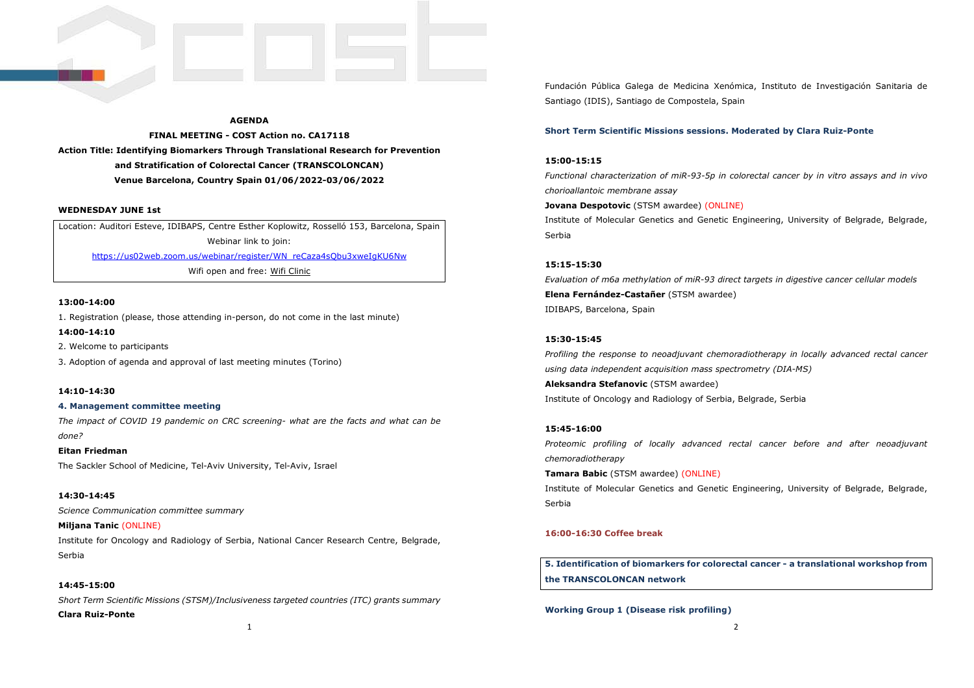## **AGENDA**

**FINAL MEETING - COST Action no. CA17118 Action Title: Identifying Biomarkers Through Translational Research for Prevention and Stratification of Colorectal Cancer (TRANSCOLONCAN) Venue Barcelona, Country Spain 01/06/2022-03/06/2022** 

## **WEDNESDAY JUNE 1st**

Location: Auditori Esteve, IDIBAPS, Centre Esther Koplowitz, Rosselló 153, Barcelona, Spain Webinar link to join: https://us02web.zoom.us/webinar/register/WN\_reCaza4sQbu3xweIgKU6NwWifi open and free: Wifi Clinic

#### **13:00-14:00**

1. Registration (please, those attending in-person, do not come in the last minute)

#### **14:00-14:10**

2. Welcome to participants

3. Adoption of agenda and approval of last meeting minutes (Torino)

## **14:10-14:30**

#### **4. Management committee meeting**

*The impact of COVID 19 pandemic on CRC screening- what are the facts and what can be done?* 

**Eitan Friedman** The Sackler School of Medicine, Tel-Aviv University, Tel-Aviv, Israel

# **14:30-14:45**

*Science Communication committee summary* 

**Miljana Tanic** (ONLINE)Institute for Oncology and Radiology of Serbia, National Cancer Research Centre, Belgrade, Serbia

## **14:45-15:00**

*Short Term Scientific Missions (STSM)/Inclusiveness targeted countries (ITC) grants summary* **Clara Ruiz-Ponte**

Fundación Pública Galega de Medicina Xenómica, Instituto de Investigación Sanitaria de Santiago (IDIS), Santiago de Compostela, Spain

## **Short Term Scientific Missions sessions. Moderated by Clara Ruiz-Ponte**

#### **15:00-15:15**

*Functional characterization of miR-93-5p in colorectal cancer by in vitro assays and in vivo chorioallantoic membrane assay* 

## **Jovana Despotovic** (STSM awardee) (ONLINE)

Institute of Molecular Genetics and Genetic Engineering, University of Belgrade, Belgrade, Serbia

## **15:15-15:30**

*Evaluation of m6a methylation of miR-93 direct targets in digestive cancer cellular models* **Elena Fernández-Castañer** (STSM awardee)IDIBAPS, Barcelona, Spain

#### **15:30-15:45**

*Profiling the response to neoadjuvant chemoradiotherapy in locally advanced rectal cancer using data independent acquisition mass spectrometry (DIA-MS)* **Aleksandra Stefanovic** (STSM awardee)

Institute of Oncology and Radiology of Serbia, Belgrade, Serbia

## **15:45-16:00**

*Proteomic profiling of locally advanced rectal cancer before and after neoadjuvant chemoradiotherapy* 

**Tamara Babic** (STSM awardee) (ONLINE)Institute of Molecular Genetics and Genetic Engineering, University of Belgrade, Belgrade, Serbia

## **16:00-16:30 Coffee break**

**5. Identification of biomarkers for colorectal cancer - a translational workshop from the TRANSCOLONCAN network** 

**Working Group 1 (Disease risk profiling)**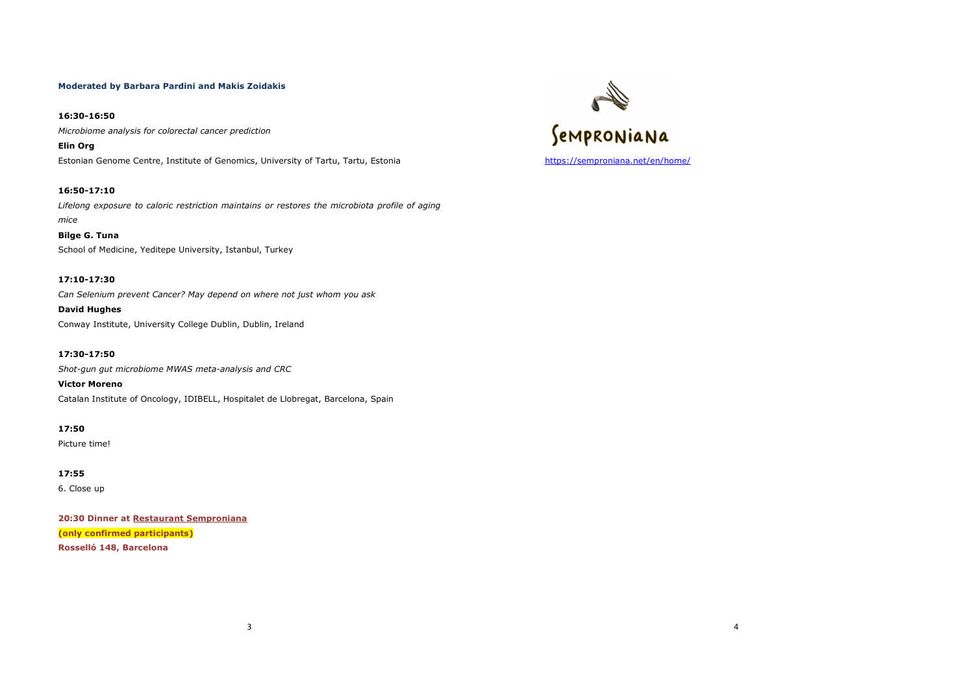## **Moderated by Barbara Pardini and Makis Zoidakis**

**16:30-16:50** *Microbiome analysis for colorectal cancer prediction*

**Elin Org**Estonian Genome Centre, Institute of Genomics, University of Tartu, Tartu, Estonia

**16:50-17:10** *Lifelong exposure to caloric restriction maintains or restores the microbiota profile of aging mice*

## **Bilge G. Tuna**

School of Medicine, Yeditepe University, Istanbul, Turkey

## **17:10-17:30**

*Can Selenium prevent Cancer? May depend on where not just whom you ask*

**David Hughes** 

Conway Institute, University College Dublin, Dublin, Ireland

**17:30-17:50** *Shot-gun gut microbiome MWAS meta-analysis and CRC***Victor Moreno** 

Catalan Institute of Oncology, IDIBELL, Hospitalet de Llobregat, Barcelona, Spain

**17:50** 

Picture time!

**17:55** 6. Close up

**20:30 Dinner at Restaurant Semproniana (only confirmed participants) Rosselló 148, Barcelona** 



3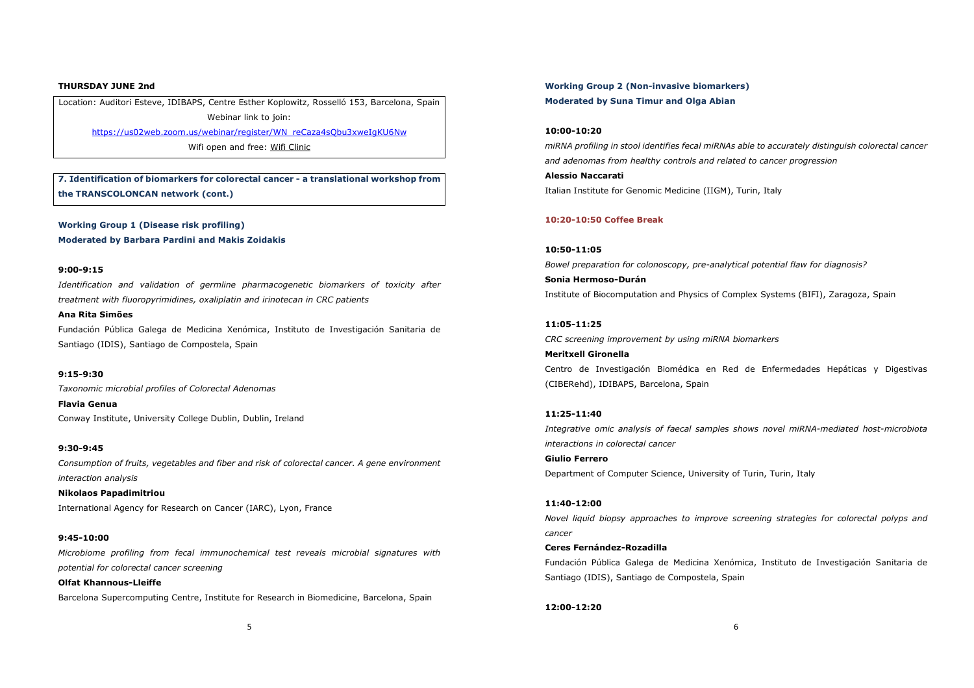#### **THURSDAY JUNE 2nd**

Location: Auditori Esteve, IDIBAPS, Centre Esther Koplowitz, Rosselló 153, Barcelona, Spain Webinar link to join: https://us02web.zoom.us/webinar/register/WN\_reCaza4sQbu3xweIgKU6Nw

Wifi open and free: Wifi Clinic

**7. Identification of biomarkers for colorectal cancer - a translational workshop from the TRANSCOLONCAN network (cont.)** 

**Working Group 1 (Disease risk profiling) Moderated by Barbara Pardini and Makis Zoidakis** 

#### **9:00-9:15**

**Ana Rita Simões**

*Identification and validation of germline pharmacogenetic biomarkers of toxicity after treatment with fluoropyrimidines, oxaliplatin and irinotecan in CRC patients*

Fundación Pública Galega de Medicina Xenómica, Instituto de Investigación Sanitaria de Santiago (IDIS), Santiago de Compostela, Spain

## **9:15-9:30**

*Taxonomic microbial profiles of Colorectal Adenomas*

**Flavia Genua** Conway Institute, University College Dublin, Dublin, Ireland

## **9:30-9:45**

*Consumption of fruits, vegetables and fiber and risk of colorectal cancer. A gene environment interaction analysis*

**Nikolaos Papadimitriou** International Agency for Research on Cancer (IARC), Lyon, France

#### **9:45-10:00**

*Microbiome profiling from fecal immunochemical test reveals microbial signatures with potential for colorectal cancer screening*

**Olfat Khannous-Lleiffe** Barcelona Supercomputing Centre, Institute for Research in Biomedicine, Barcelona, Spain **Working Group 2 (Non-invasive biomarkers) Moderated by Suna Timur and Olga Abian** 

## **10:00-10:20**

*miRNA profiling in stool identifies fecal miRNAs able to accurately distinguish colorectal cancer and adenomas from healthy controls and related to cancer progression***Alessio Naccarati** Italian Institute for Genomic Medicine (IIGM), Turin, Italy

#### **10:20-10:50 Coffee Break**

**10:50-11:05** *Bowel preparation for colonoscopy, pre-analytical potential flaw for diagnosis?***Sonia Hermoso-Durán**Institute of Biocomputation and Physics of Complex Systems (BIFI), Zaragoza, Spain

## **11:05-11:25**

*CRC screening improvement by using miRNA biomarkers*

**Meritxell Gironella**Centro de Investigación Biomédica en Red de Enfermedades Hepáticas y Digestivas (CIBERehd), IDIBAPS, Barcelona, Spain

## **11:25-11:40**

*Integrative omic analysis of faecal samples shows novel miRNA-mediated host-microbiota interactions in colorectal cancer*

**Giulio Ferrero** Department of Computer Science, University of Turin, Turin, Italy

## **11:40-12:00**

*Novel liquid biopsy approaches to improve screening strategies for colorectal polyps and cancer*

## **Ceres Fernández-Rozadilla**

Fundación Pública Galega de Medicina Xenómica, Instituto de Investigación Sanitaria de Santiago (IDIS), Santiago de Compostela, Spain

#### **12:00-12:20**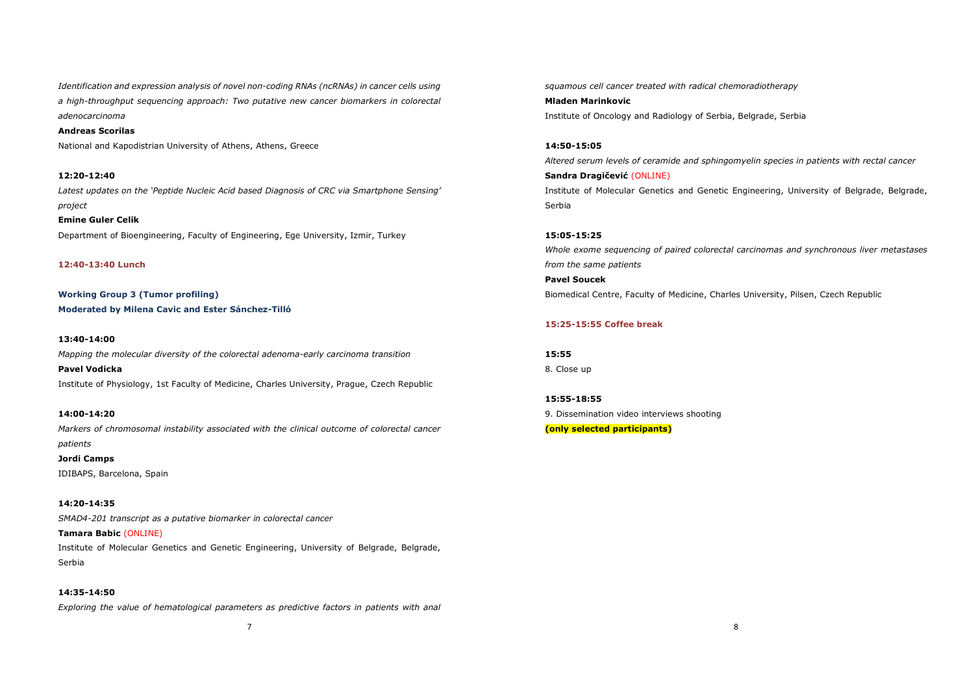*Identification and expression analysis of novel non-coding RNAs (ncRNAs) in cancer cells using a high-throughput sequencing approach: Two putative new cancer biomarkers in colorectal adenocarcinoma*

**Andreas Scorilas**

National and Kapodistrian University of Athens, Athens, Greece

**12:20-12:40** *Latest updates on the 'Peptide Nucleic Acid based Diagnosis of CRC via Smartphone Sensing' project*

**Emine Guler Celik**Department of Bioengineering, Faculty of Engineering, Ege University, Izmir, Turkey

**12:40-13:40 Lunch** 

**Working Group 3 (Tumor profiling) Moderated by Milena Cavic and Ester Sánchez-Tilló** 

#### **13:40-14:00**

*Mapping the molecular diversity of the colorectal adenoma-early carcinoma transition*

**Pavel Vodicka**Institute of Physiology, 1st Faculty of Medicine, Charles University, Prague, Czech Republic

#### **14:00-14:20**

*Markers of chromosomal instability associated with the clinical outcome of colorectal cancer patients*

**Jordi Camps**IDIBAPS, Barcelona, Spain

#### **14:20-14:35**

*SMAD4-201 transcript as a putative biomarker in colorectal cancer* 

**Tamara Babic** (ONLINE)

Institute of Molecular Genetics and Genetic Engineering, University of Belgrade, Belgrade, Serbia

## **14:35-14:50**

*Exploring the value of hematological parameters as predictive factors in patients with anal* 

*squamous cell cancer treated with radical chemoradiotherapy* **Mladen Marinkovic** Institute of Oncology and Radiology of Serbia, Belgrade, Serbia

**14:50-15:05** *Altered serum levels of ceramide and sphingomyelin species in patients with rectal cancer* **Sandra Dragičević** (ONLINE)Institute of Molecular Genetics and Genetic Engineering, University of Belgrade, Belgrade,

**15:05-15:25** 

Serbia

*Whole exome sequencing of paired colorectal carcinomas and synchronous liver metastases from the same patients* 

**Pavel Soucek** Biomedical Centre, Faculty of Medicine, Charles University, Pilsen, Czech Republic

## **15:25-15:55 Coffee break**

**15:55** 8. Close up

**15:55-18:55** 9. Dissemination video interviews shooting **(only selected participants)**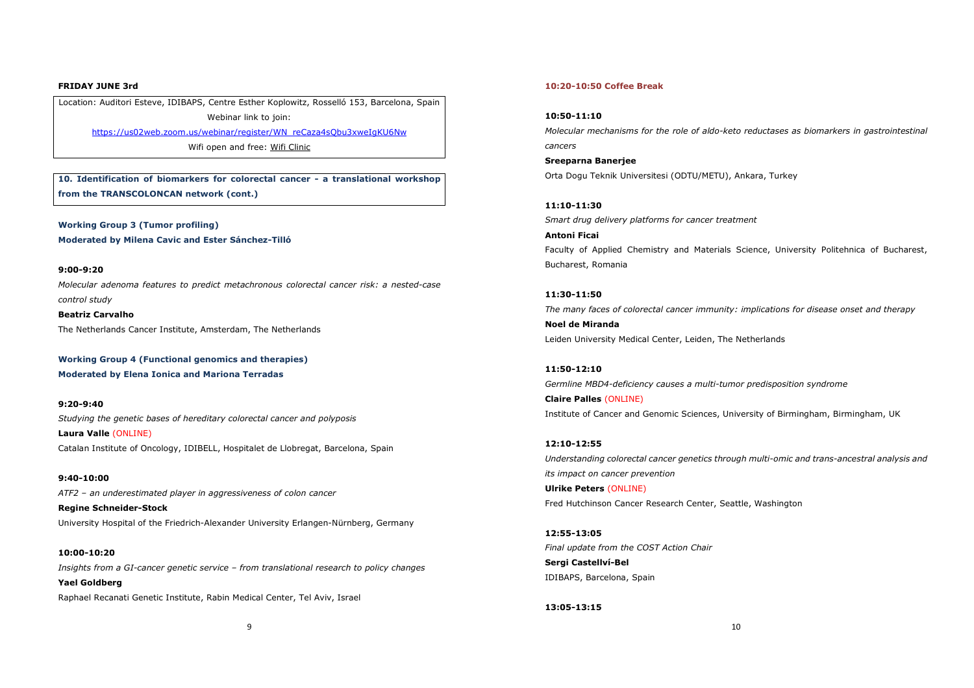#### **FRIDAY JUNE 3rd**

Location: Auditori Esteve, IDIBAPS, Centre Esther Koplowitz, Rosselló 153, Barcelona, Spain Webinar link to join: https://us02web.zoom.us/webinar/register/WN\_reCaza4sQbu3xweIgKU6Nw

Wifi open and free: Wifi Clinic

**10. Identification of biomarkers for colorectal cancer - a translational workshop from the TRANSCOLONCAN network (cont.)** 

**Working Group 3 (Tumor profiling) Moderated by Milena Cavic and Ester Sánchez-Tilló** 

#### **9:00-9:20**

**10:00-10:20** 

*Molecular adenoma features to predict metachronous colorectal cancer risk: a nested-case control study* 

**Beatriz Carvalho** The Netherlands Cancer Institute, Amsterdam, The Netherlands

**Working Group 4 (Functional genomics and therapies)Moderated by Elena Ionica and Mariona Terradas** 

**9:20-9:40** *Studying the genetic bases of hereditary colorectal cancer and polyposis***Laura Valle** (ONLINE)Catalan Institute of Oncology, IDIBELL, Hospitalet de Llobregat, Barcelona, Spain

**9:40-10:00** *ATF2 – an underestimated player in aggressiveness of colon cancer***Regine Schneider-Stock**

University Hospital of the Friedrich-Alexander University Erlangen-Nürnberg, Germany

*Insights from a GI-cancer genetic service – from translational research to policy changes***Yael Goldberg**Raphael Recanati Genetic Institute, Rabin Medical Center, Tel Aviv, Israel

## **10:20-10:50 Coffee Break**

## **10:50-11:10**

*Molecular mechanisms for the role of aldo-keto reductases as biomarkers in gastrointestinal cancers*

**Sreeparna Banerjee**Orta Dogu Teknik Universitesi (ODTU/METU), Ankara, Turkey

**11:10-11:30** *Smart drug delivery platforms for cancer treatment*

**Antoni Ficai**Faculty of Applied Chemistry and Materials Science, University Politehnica of Bucharest, Bucharest, Romania

**11:30-11:50** *The many faces of colorectal cancer immunity: implications for disease onset and therapy***Noel de Miranda**Leiden University Medical Center, Leiden, The Netherlands

**11:50-12:10** *Germline MBD4-deficiency causes a multi-tumor predisposition syndrome***Claire Palles** (ONLINE)Institute of Cancer and Genomic Sciences, University of Birmingham, Birmingham, UK

**12:10-12:55** *Understanding colorectal cancer genetics through multi-omic and trans-ancestral analysis and its impact on cancer prevention***Ulrike Peters** (ONLINE)Fred Hutchinson Cancer Research Center, Seattle, Washington

**12:55-13:05** *Final update from the COST Action Chair***Sergi Castellví-Bel**IDIBAPS, Barcelona, Spain

#### **13:05-13:15**